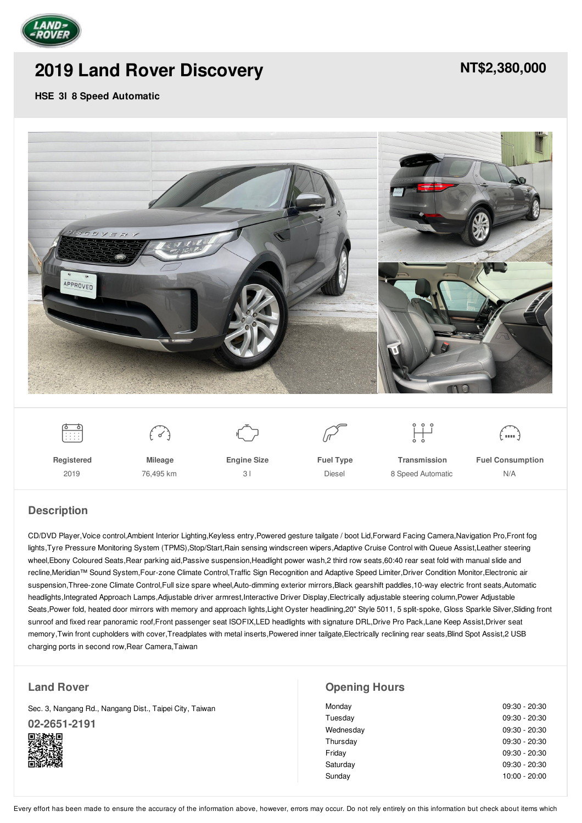

# **2019 Land Rover [Discovery](/approved-vehicles/pdf/)**

## **[NT\\$2,380,000](/approved-vehicles/pdf/)**

#### **HSE 3l 8 Speed Automatic**





**Registered** 2019

**Mileage** 76,495 km **Engine Size** 3 l



**Transmission** 8 Speed Automatic

 $\prod_{i=1}^{n}$ 

**Fuel Consumption** N/A

.<br>· ••••• <sup>ع</sup>

## **Description**

CD/DVD Player,Voice control,Ambient Interior Lighting,Keyless entry,Powered gesture tailgate / boot Lid,Forward Facing Camera,Navigation Pro,Front fog lights,Tyre Pressure Monitoring System (TPMS),Stop/Start,Rain sensing windscreen wipers,Adaptive Cruise Control with Queue Assist,Leather steering wheel,Ebony Coloured Seats,Rear parking aid,Passive suspension,Headlight power wash,2 third row seats,60:40 rear seat fold with manual slide and recline,Meridian™ Sound System,Four-zone Climate Control,Traffic Sign Recognition and Adaptive Speed Limiter,Driver Condition Monitor,Electronic air suspension,Three-zone Climate Control,Full size spare wheel,Auto-dimming exterior mirrors,Black gearshift paddles,10-way electric front seats,Automatic headlights,Integrated Approach Lamps,Adjustable driver armrest,Interactive Driver Display,Electrically adjustable steering column,Power Adjustable Seats,Power fold, heated door mirrors with memory and approach lights,Light Oyster headlining,20" Style 5011, 5 split-spoke, Gloss Sparkle Silver,Sliding front sunroof and fixed rear panoramic roof,Front passenger seat ISOFIX,LED headlights with signature DRL,Drive Pro Pack,Lane Keep Assist,Driver seat memory,Twin front cupholders with cover,Treadplates with metal inserts,Powered inner tailgate,Electrically reclining rear seats,Blind Spot Assist,2 USB charging ports in second row,Rear Camera,Taiwan

#### **Land Rover**

Sec. 3, Nangang Rd., Nangang Dist., Taipei City, Taiwan **[02-2651-2191](tel:0226512191)**



### **Opening Hours**

| Monday    | $09:30 - 20:30$ |
|-----------|-----------------|
| Tuesday   | $09:30 - 20:30$ |
| Wednesday | $09:30 - 20:30$ |
| Thursday  | 09:30 - 20:30   |
| Friday    | $09:30 - 20:30$ |
| Saturday  | $09:30 - 20:30$ |
| Sunday    | $10:00 - 20:00$ |
|           |                 |

Every effort has been made to ensure the accuracy of the information above, however, errors may occur. Do not rely entirely on this information but check about items which